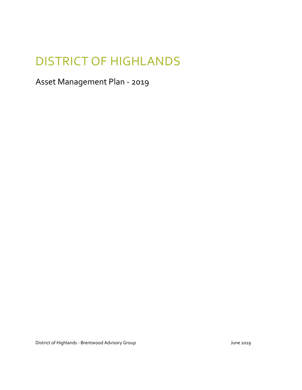# DISTRICT OF HIGHLANDS

### Asset Management Plan - 2019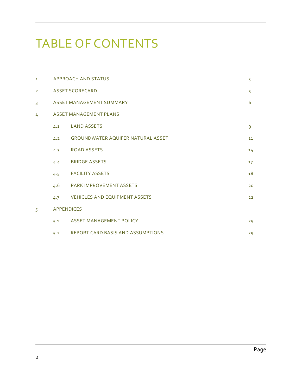# TABLE OF CONTENTS

| $\mathbf{1}$   |                   | APPROACH AND STATUS                      | 3  |
|----------------|-------------------|------------------------------------------|----|
| $\overline{2}$ |                   | <b>ASSET SCORECARD</b>                   | 5  |
| 3              |                   | ASSET MANAGEMENT SUMMARY                 | 6  |
| 4              |                   | <b>ASSET MANAGEMENT PLANS</b>            |    |
|                | 4.1               | <b>LAND ASSETS</b>                       | 9  |
|                | 4.2               | <b>GROUNDWATER AQUIFER NATURAL ASSET</b> | 11 |
|                | 4.3               | <b>ROAD ASSETS</b>                       | 14 |
|                | 4.4               | <b>BRIDGE ASSETS</b>                     | 17 |
|                | 4.5               | <b>FACILITY ASSETS</b>                   | 18 |
|                | 4.6               | <b>PARK IMPROVEMENT ASSETS</b>           | 20 |
|                | 4.7               | <b>VEHICLES AND EQUIPMENT ASSETS</b>     | 22 |
| 5              | <b>APPENDICES</b> |                                          |    |
|                | 5.1               | <b>ASSET MANAGEMENT POLICY</b>           | 25 |
|                | 5.2               | <b>REPORT CARD BASIS AND ASSUMPTIONS</b> | 29 |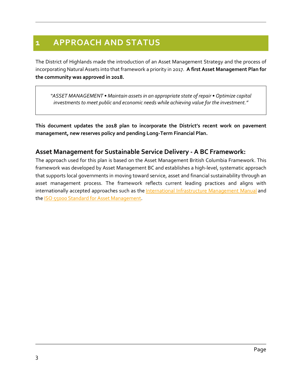### **1 APPROACH AND STATUS**

The District of Highlands made the introduction of an Asset Management Strategy and the process of incorporating Natural Assets into that framework a priority in 2017. **A first Asset Management Plan for the community was approved in 2018.**

*"ASSET MANAGEMENT • Maintain assets in an appropriate state of repair • Optimize capital investments to meet public and economic needs while achieving value for the investment."*

**This document updates the 2018 plan to incorporate the District's recent work on pavement management, new reserves policy and pending Long-Term Financial Plan.** 

#### **Asset Management for Sustainable Service Delivery - A BC Framework:**

The approach used for this plan is based on the Asset Management British Columbia Framework. This framework was developed by Asset Management BC and establishes a high-level, systematic approach that supports local governments in moving toward service, asset and financial sustainability through an asset management process. The framework reflects current leading practices and aligns with internationally accepted approaches such as the [International Infrastructure Management Manual](http://www.nams.org.nz/pages/273/international-infrastructure-management-manual-2011-edition.htm) and the [ISO 55000 Standard for Asset Management.](http://www.iso.org/iso/home/store/catalogue_tc/catalogue_detail.htm?csnumber=55088)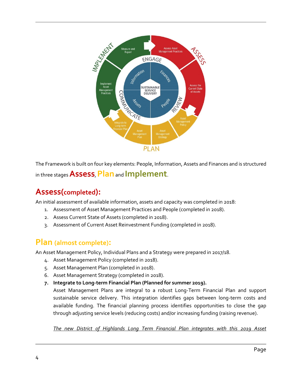

The Framework is built on four key elements: People, Information, Assets and Finances and is structured in three stages **Assess**, **Plan**and **Implement**.

### **Assess(completed):**

An initial assessment of available information, assets and capacity was completed in 2018:

- 1. Assessment of Asset Management Practices and People (completed in 2018).
- 2. Assess Current State of Assets (completed in 2018).
- 3. Assessment of Current Asset Reinvestment Funding (completed in 2018).

### **Plan (almost complete):**

An Asset Management Policy, Individual Plans and a Strategy were prepared in 2017/18.

- 4. Asset Management Policy (completed in 2018).
- 5. Asset Management Plan (completed in 2018).
- 6. Asset Management Strategy (completed in 2018).
- **7. Integrate to Long-term Financial Plan (Planned for summer 2019).**

Asset Management Plans are integral to a robust Long-Term Financial Plan and support sustainable service delivery. This integration identifies gaps between long-term costs and available funding. The financial planning process identifies opportunities to close the gap through adjusting service levels (reducing costs) and/or increasing funding (raising revenue).

*The new District of Highlands Long Term Financial Plan integrates with this 2019 Asset*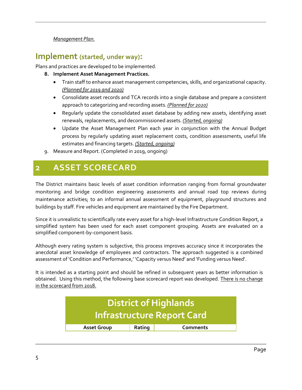#### *Management Plan.*

#### **Implement (started, under way):**

Plans and practices are developed to be implemented.

- **8. Implement Asset Management Practices.**
	- Train staff to enhance asset management competencies, skills, and organizational capacity. *(Planned for 2019 and 2020)*
	- Consolidate asset records and TCA records into a single database and prepare a consistent approach to categorizing and recording assets. *(Planned for 2020)*
	- Regularly update the consolidated asset database by adding new assets, identifying asset renewals, replacements, and decommissioned assets. *(Started, ongoing)*
	- Update the Asset Management Plan each year in conjunction with the Annual Budget process by regularly updating asset replacement costs, condition assessments, useful life estimates and financing targets. *(Started, ongoing)*
- 9. Measure and Report. (Completed in 2019, ongoing)

### **2 ASSET SCORECARD**

The District maintains basic levels of asset condition information ranging from formal groundwater monitoring and bridge condition engineering assessments and annual road top reviews during maintenance activities; to an informal annual assessment of equipment, playground structures and buildings by staff. Fire vehicles and equipment are maintained by the Fire Department.

Since it is unrealistic to scientifically rate every asset for a high-level Infrastructure Condition Report, a simplified system has been used for each asset component grouping. Assets are evaluated on a simplified component-by-component basis.

Although every rating system is subjective, this process improves accuracy since it incorporates the anecdotal asset knowledge of employees and contractors. The approach suggested is a combined assessment of 'Condition and Performance,' 'Capacity versus Need' and 'Funding versus Need'.

It is intended as a starting point and should be refined in subsequent years as better information is obtained. Using this method, the following base scorecard report was developed. There is no change in the scorecard from 2018.

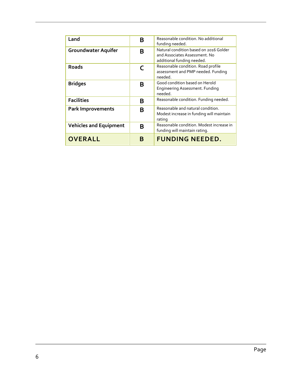| Land                          | В | Reasonable condition. No additional<br>funding needed.                                                |
|-------------------------------|---|-------------------------------------------------------------------------------------------------------|
| <b>Groundwater Aquifer</b>    | В | Natural condition based on 2016 Golder<br>and Associates Assessment. No<br>additional funding needed. |
| <b>Roads</b>                  | C | Reasonable condition. Road profile<br>assessment and PMP needed. Funding<br>needed.                   |
| <b>Bridges</b>                | В | Good condition based on Herold<br>Engineering Assessment. Funding<br>needed.                          |
| <b>Facilities</b>             | B | Reasonable condition. Funding needed.                                                                 |
| <b>Park Improvements</b>      | B | Reasonable and natural condition.<br>Modest increase in funding will maintain<br>rating               |
| <b>Vehicles and Equipment</b> | B | Reasonable condition. Modest increase in<br>funding will maintain rating.                             |
| <b>OVERALL</b>                | В | <b>FUNDING NEEDED.</b>                                                                                |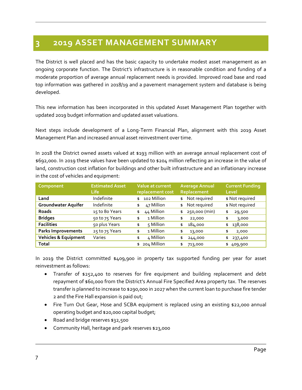### **3 2019 ASSET MANAGEMENT SUMMARY**

The District is well placed and has the basic capacity to undertake modest asset management as an ongoing corporate function. The District's infrastructure is in reasonable condition and funding of a moderate proportion of average annual replacement needs is provided. Improved road base and road top information was gathered in 2018/19 and a pavement management system and database is being developed.

This new information has been incorporated in this updated Asset Management Plan together with updated 2019 budget information and updated asset valuations.

Next steps include development of a Long-Term Financial Plan, alignment with this 2019 Asset Management Plan and increased annual asset reinvestment over time.

In 2018 the District owned assets valued at \$193 million with an average annual replacement cost of \$692,000. In 2019 these values have been updated to \$204 million reflecting an increase in the value of land, construction cost inflation for buildings and other built infrastructure and an inflationary increase in the cost of vehicles and equipment:

| Component                       | <b>Estimated Asset</b><br><b>Life</b> | Value at current<br>replacement cost | <b>Average Annual</b><br>Replacement | <b>Current Funding</b><br>Level |
|---------------------------------|---------------------------------------|--------------------------------------|--------------------------------------|---------------------------------|
| Land                            | Indefinite                            | 102 Million<br>\$                    | \$ Not required                      | \$ Not required                 |
| Groundwater Aquifer             | Indefinite                            | 47 Million<br>\$                     | Not required<br>\$                   | \$ Not required                 |
| <b>Roads</b>                    | 15 to 80 Years                        | 44 Million<br>\$                     | 250,000 (min)<br>\$                  | 29,500<br>\$                    |
| <b>Bridges</b>                  | 50 to 75 Years                        | 1 Million<br>\$                      | \$<br>22,000                         | \$<br>3,000                     |
| <b>Facilities</b>               | 50 plus Years                         | 5 Million<br>\$                      | 184,000<br>\$                        | 138,000<br>\$                   |
| <b>Parks Improvements</b>       | 25 to 75 Years                        | 1 Million<br>\$                      | 13,000<br>\$                         | \$<br>2,000                     |
| <b>Vehicles &amp; Equipment</b> | Varies                                | 4 Million<br>\$                      | 244,000<br>\$                        | 237,400<br>\$                   |
| <b>Total</b>                    |                                       | 204 Million<br>\$                    | 713,000<br>\$                        | 409,900<br>\$                   |

In 2019 the District committed \$409,900 in property tax supported funding per year for asset reinvestment as follows:

- Transfer of \$252,400 to reserves for fire equipment and building replacement and debt repayment of \$60,000 from the District's Annual Fire Specified Area property tax. The reserves transfer is planned to increase to \$290,000 in 2027 when the current loan to purchase fire tender 2 and the Fire Hall expansion is paid out;
- Fire Turn Out Gear, Hose and SCBA equipment is replaced using an existing \$22,000 annual operating budget and \$20,000 capital budget;
- Road and bridge reserves \$32,500
- Community Hall, heritage and park reserves \$23,000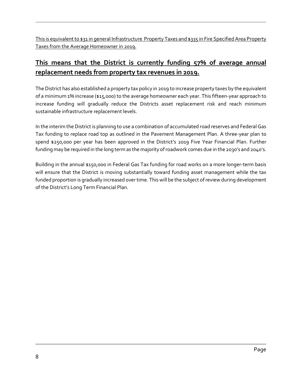This is equivalent to \$31 in general Infrastructure Property Taxes and \$335 in Fire Specified Area Property Taxes from the Average Homeowner in 2019.

### **This means that the District is currently funding 57% of average annual replacement needs from property tax revenues in 2019.**

The District has also established a property tax policy in 2019 to increase property taxes by the equivalent of a minimum 1% increase (\$15,000) to the average homeowner each year. This fifteen-year approach to increase funding will gradually reduce the Districts asset replacement risk and reach minimum sustainable infrastructure replacement levels.

In the interim the District is planning to use a combination of accumulated road reserves and Federal Gas Tax funding to replace road top as outlined in the Pavement Management Plan. A three-year plan to spend \$250,000 per year has been approved in the District's 2019 Five Year Financial Plan. Further funding may be required in the long term as the majority of roadwork comes due in the 2030's and 2040's.

Building in the annual \$150,000 in Federal Gas Tax funding for road works on a more longer-term basis will ensure that the District is moving substantially toward funding asset management while the tax funded proportion is gradually increased over time. This will be the subject of review during development of the District's Long Term Financial Plan.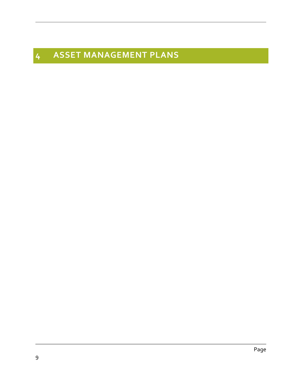# **ASSET MANAGEMENT PLANS**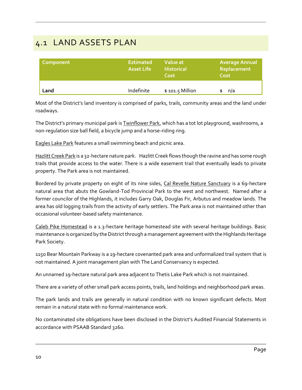### 4.1 LAND ASSETS PLAN

| Component | <b>Estimated</b><br><b>Asset Life</b> | Value at<br><b>Historical</b><br>Cost | <b>Average Annual</b><br>Replacement<br>Cost |
|-----------|---------------------------------------|---------------------------------------|----------------------------------------------|
| Land      | Indefinite                            | $$101.5$ Million                      | n/a                                          |

Most of the District's land inventory is comprised of parks, trails, community areas and the land under roadways.

The District's primary municipal park is **Twinflower Park**, which has a tot lot playground, washrooms, a non-regulation size ball field, a bicycle jump and a horse-riding ring.

Eagles Lake Park features a small swimming beach and picnic area.

Hazlitt Creek Park is a 32-hectare nature park. Hazlitt Creek flows though the ravine and has some rough trails that provide access to the water. There is a wide easement trail that eventually leads to private property. The Park area is not maintained.

Bordered by private property on eight of its nine sides, Cal Revelle Nature Sanctuary is a 69-hectare natural area that abuts the Gowland-Tod Provincial Park to the west and northwest. Named after a former councilor of the Highlands, it includes Garry Oak, Douglas Fir, Arbutus and meadow lands. The area has old logging trails from the activity of early settlers. The Park area is not maintained other than occasional volunteer-based safety maintenance.

Caleb Pike Homestead is a 1.3-hectare heritage homestead site with several heritage buildings. Basic maintenance is organized by the District through a management agreement with the Highlands Heritage Park Society.

1150 Bear Mountain Parkway is a 19-hectare covenanted park area and unformalized trail system that is not maintained. A joint management plan with The Land Conservancy is expected.

An unnamed 19-hectare natural park area adjacent to Thetis Lake Park which is not maintained.

There are a variety of other small park access points, trails, land holdings and neighborhood park areas.

The park lands and trails are generally in natural condition with no known significant defects. Most remain in a natural state with no formal maintenance work.

No contaminated site obligations have been disclosed in the District's Audited Financial Statements in accordance with PSAAB Standard 3260.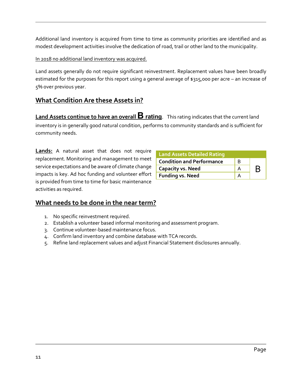Additional land inventory is acquired from time to time as community priorities are identified and as modest development activities involve the dedication of road, trail or other land to the municipality.

In 2018 no additional land inventory was acquired.

Land assets generally do not require significant reinvestment. Replacement values have been broadly estimated for the purposes for this report using a general average of \$315,000 per acre – an increase of 5% over previous year.

#### **What Condition Are these Assets in?**

**Land Assets continue to have an overall B rating**. This rating indicates that the current land inventory is in generally good natural condition, performs to community standards and is sufficient for community needs.

**Lands:** A natural asset that does not require replacement. Monitoring and management to meet service expectations and be aware of climate change impacts is key. Ad hoc funding and volunteer effort is provided from time to time for basic maintenance activities as required.

| <b>Land Assets Detailed Rating</b> |   |  |
|------------------------------------|---|--|
| <b>Condition and Performance</b>   | в |  |
| <b>Capacity vs. Need</b>           |   |  |
| <b>Funding vs. Need</b>            |   |  |

#### **What needs to be done in the near term?**

- 1. No specific reinvestment required.
- 2. Establish a volunteer based informal monitoring and assessment program.
- 3. Continue volunteer-based maintenance focus.
- 4. Confirm land inventory and combine database with TCA records.
- 5. Refine land replacement values and adjust Financial Statement disclosures annually.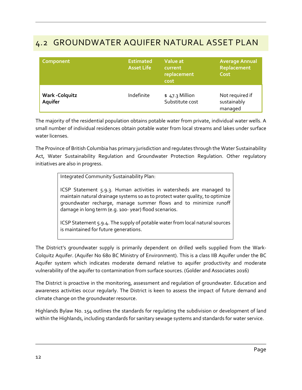### 4.2 GROUNDWATER AQUIFER NATURAL ASSET PLAN

| Component                         | <b>Estimated</b><br><b>Asset Life</b> | Value at<br>current<br>replacement<br>cost | <b>Average Annual</b><br>Replacement<br>Cost |
|-----------------------------------|---------------------------------------|--------------------------------------------|----------------------------------------------|
| <b>Wark - Colquitz</b><br>Aquifer | Indefinite                            | $$47.3$ Million<br>Substitute cost         | Not required if<br>sustainably<br>managed    |

The majority of the residential population obtains potable water from private, individual water wells. A small number of individual residences obtain potable water from local streams and lakes under surface water licenses.

The Province of British Columbia has primary jurisdiction and regulates through the Water Sustainability Act, Water Sustainability Regulation and Groundwater Protection Regulation. Other regulatory initiatives are also in progress.

Integrated Community Sustainability Plan:

ICSP Statement 5.9.3. Human activities in watersheds are managed to maintain natural drainage systems so as to protect water quality, to optimize groundwater recharge, manage summer flows and to minimize runoff damage in long term (e.g. 100- year) flood scenarios.

ICSP Statement 5.9.4. The supply of potable water from local natural sources is maintained for future generations.

The District's groundwater supply is primarily dependent on drilled wells supplied from the Wark-Colquitz Aquifer. (Aquifer No 680 BC Ministry of Environment). This is a class IIB Aquifer under the BC Aquifer system which indicates moderate demand relative to aquifer productivity and moderate vulnerability of the aquifer to contamination from surface sources. (Golder and Associates 2016)

The District is proactive in the monitoring, assessment and regulation of groundwater. Education and awareness activities occur regularly. The District is keen to assess the impact of future demand and climate change on the groundwater resource.

Highlands Bylaw No. 154 outlines the standards for regulating the subdivision or development of land within the Highlands, including standards for sanitary sewage systems and standards for water service.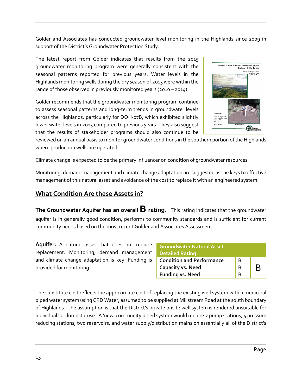Golder and Associates has conducted groundwater level monitoring in the Highlands since 2009 in support of the District's Groundwater Protection Study.

The latest report from Golder indicates that results from the 2015 groundwater monitoring program were generally consistent with the seasonal patterns reported for previous years. Water levels in the Highlands monitoring wells during the dry season of 2015 were within the range of those observed in previously monitored years (2010 – 2014).

Golder recommends that the groundwater monitoring program continue to assess seasonal patterns and long-term trends in groundwater levels across the Highlands, particularly for DOH-07B, which exhibited slightly lower water levels in 2015 compared to previous years. They also suggest that the results of stakeholder programs should also continue to be



Phase 3: Groundwater Protection Study<br>District of Highlands

District of Highlands<br>Victoria, BC

reviewed on an annual basis to monitor groundwater conditions in the southern portion of the Highlands where production wells are operated.

Climate change is expected to be the primary influencer on condition of groundwater resources.

Monitoring, demand management and climate change adaptation are suggested as the keys to effective management of this natural asset and avoidance of the cost to replace it with an engineered system.

#### **What Condition Are these Assets in?**

**The Groundwater Aquifer has an overall B rating**. This rating indicates that the groundwater aquifer is in generally good condition, performs to community standards and is sufficient for current community needs based on the most recent Golder and Associates Assessment.

**Aquifer:** A natural asset that does not require replacement. Monitoring, demand management and climate change adaptation is key. Funding is provided for monitoring.

| <b>Groundwater Natural Asset</b><br><b>Detailed Rating</b> |   |   |
|------------------------------------------------------------|---|---|
| <b>Condition and Performance</b>                           | в |   |
| <b>Capacity vs. Need</b>                                   | в | B |
| <b>Funding vs. Need</b>                                    |   |   |

The substitute cost reflects the approximate cost of replacing the existing well system with a municipal piped water system using CRD Water, assumed to be supplied at Millstream Road at the south boundary of Highlands. The assumption is that the District's private onsite well system is rendered unsuitable for individual lot domestic use. A 'new' community piped system would require 2 pump stations, 5 pressure reducing stations, two reservoirs, and water supply/distribution mains on essentially all of the District's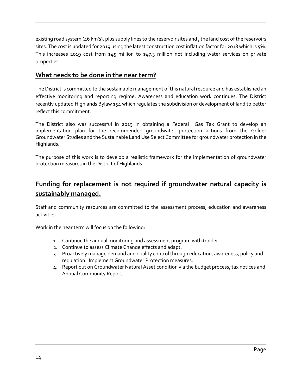existing road system (46 km's), plus supply lines to the reservoir sites and , the land cost of the reservoirs sites. The cost is updated for 2019 using the latest construction cost inflation factor for 2018 which is 5%. This increases 2019 cost from \$45 million to \$47.3 million not including water services on private properties.

#### **What needs to be done in the near term?**

The District is committed to the sustainable management of this natural resource and has established an effective monitoring and reporting regime. Awareness and education work continues. The District recently updated Highlands Bylaw 154 which regulates the subdivision or development of land to better reflect this commitment.

The District also was successful in 2019 in obtaining a Federal Gas Tax Grant to develop an implementation plan for the recommended groundwater protection actions from the Golder Groundwater Studies and the Sustainable Land Use Select Committee for groundwater protection in the Highlands.

The purpose of this work is to develop a realistic framework for the implementation of groundwater protection measures in the District of Highlands.

### **Funding for replacement is not required if groundwater natural capacity is sustainably managed.**

Staff and community resources are committed to the assessment process, education and awareness activities.

Work in the near term will focus on the following:

- 1. Continue the annual monitoring and assessment program with Golder.
- 2. Continue to assess Climate Change effects and adapt.
- 3. Proactively manage demand and quality control through education, awareness, policy and regulation. Implement Groundwater Protection measures.
- 4. Report out on Groundwater Natural Asset condition via the budget process, tax notices and Annual Community Report.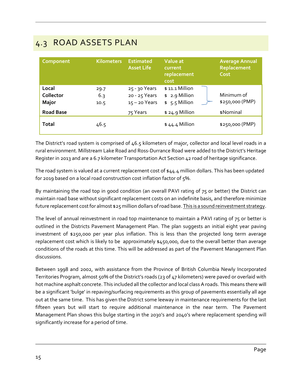### 4.3 ROAD ASSETS PLAN

| Component                          | <b>Kilometers</b>   | <b>Estimated</b><br><b>Asset Life</b>             | Value at<br>current<br>replacement<br>cost          | <b>Average Annual</b><br>Replacement<br>Cost |
|------------------------------------|---------------------|---------------------------------------------------|-----------------------------------------------------|----------------------------------------------|
| Local<br>Collector<br><b>Major</b> | 29.7<br>6.3<br>10.5 | 25 - 30 Years<br>20 - 25 Years<br>$15 - 20$ Years | $$11.1$ Million<br>$$2.9$ Million<br>$$5.5$ Million | Minimum of<br>\$250,000 (PMP)                |
| <b>Road Base</b>                   |                     | 75 Years                                          | $$24.9$ Million                                     | \$Nominal                                    |
| <b>Total</b>                       | 46.5                |                                                   | $$44.4$ Million                                     | \$250,000 (PMP)                              |

The District's road system is comprised of 46.5 kilometers of major, collector and local level roads in a rural environment. Millstream Lake Road and Ross-Durrance Road were added to the District's Heritage Register in 2013 and are a 6.7 kilometer Transportation Act Section 42 road of heritage significance.

The road system is valued at a current replacement cost of \$44.4 million dollars. This has been updated for 2019 based on a local road construction cost inflation factor of 5%.

By maintaining the road top in good condition (an overall PAVI rating of 75 or better) the District can maintain road base without significant replacement costs on an indefinite basis, and therefore minimize future replacement cost for almost \$25 million dollars of road base. This is a sound reinvestment strategy.

The level of annual reinvestment in road top maintenance to maintain a PAVI rating of 75 or better is outlined in the Districts Pavement Management Plan. The plan suggests an initial eight year paving investment of \$250,000 per year plus inflation. This is less than the projected long term average replacement cost which is likely to be approximately \$450,000, due to the overall better than average conditions of the roads at this time. This will be addressed as part of the Pavement Management Plan discussions.

Between 1998 and 2002, with assistance from the Province of British Columbia Newly Incorporated Territories Program, almost 50% of the District's roads (23 of 47 kilometers) were paved or overlaid with hot machine asphalt concrete. This included all the collector and local class A roads. This means there will be a significant 'bulge' in repaving/surfacing requirements as this group of pavements essentially all age out at the same time. This has given the District some leeway in maintenance requirements for the last fifteen years but will start to require additional maintenance in the near term. The Pavement Management Plan shows this bulge starting in the 2030's and 2040's where replacement spending will significantly increase for a period of time.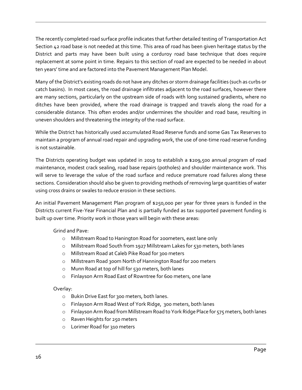The recently completed road surface profile indicates that further detailed testing of Transportation Act Section 42 road base is not needed at this time. This area of road has been given heritage status by the District and parts may have been built using a corduroy road base technique that does require replacement at some point in time. Repairs to this section of road are expected to be needed in about ten years' time and are factored into the Pavement Management Plan Model.

Many of the District's existing roads do not have any ditches or storm drainage facilities (such as curbs or catch basins). In most cases, the road drainage infiltrates adjacent to the road surfaces, however there are many sections, particularly on the upstream side of roads with long sustained gradients, where no ditches have been provided, where the road drainage is trapped and travels along the road for a considerable distance. This often erodes and/or undermines the shoulder and road base, resulting in uneven shoulders and threatening the integrity of the road surface.

While the District has historically used accumulated Road Reserve funds and some Gas Tax Reserves to maintain a program of annual road repair and upgrading work, the use of one-time road reserve funding is not sustainable.

The Districts operating budget was updated in 2019 to establish a \$209,500 annual program of road maintenance, modest crack sealing, road base repairs (potholes) and shoulder maintenance work. This will serve to leverage the value of the road surface and reduce premature road failures along these sections. Consideration should also be given to providing methods of removing large quantities of water using cross drains or swales to reduce erosion in these sections.

An initial Pavement Management Plan program of \$250,000 per year for three years is funded in the Districts current Five-Year Financial Plan and is partially funded as tax supported pavement funding is built up over time. Priority work in those years will begin with these areas:

#### Grind and Pave:

- o Millstream Road to Hanington Road for 200meters, east lane only
- o Millstream Road South from 1927 Millstream Lakes for 530 meters, both lanes
- o Millstream Road at Caleb Pike Road for 300 meters
- o Millstream Road 300m North of Hannington Road for 200 meters
- o Munn Road at top of hill for 530 meters, both lanes
- o Finlayson Arm Road East of Rowntree for 600 meters, one lane

#### Overlay:

- o Bukin Drive East for 300 meters, both lanes.
- o Finlayson Arm Road West of York Ridge, 300 meters, both lanes
- $\circ$  Finlayson Arm Road from Millstream Road to York Ridge Place for 575 meters, both lanes
- o Raven Heights for 250 meters
- o Lorimer Road for 310 meters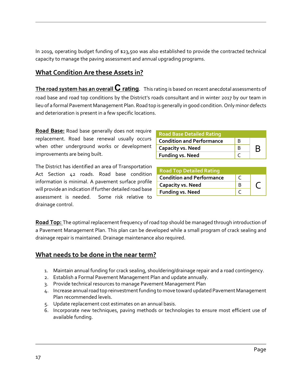In 2019, operating budget funding of \$23,500 was also established to provide the contracted technical capacity to manage the paving assessment and annual upgrading programs.

#### **What Condition Are these Assets in?**

**The road system has an overall C rating**. This rating is based on recent anecdotal assessments of road base and road top conditions by the District's roads consultant and in winter 2017 by our team in lieu of a formal Pavement Management Plan. Road top is generally in good condition. Only minor defects and deterioration is present in a few specific locations.

**Road Base:** Road base generally does not require replacement. Road base renewal usually occurs when other underground works or development improvements are being built.

The District has identified an area of Transportation Act Section 42 roads. Road base condition information is minimal. A pavement surface profile will provide an indication if further detailed road base assessment is needed. Some risk relative to drainage control.

| <b>Road Base Detailed Rating</b> |   |  |
|----------------------------------|---|--|
| <b>Condition and Performance</b> | в |  |
| <b>Capacity vs. Need</b>         | B |  |
| <b>Funding vs. Need</b>          |   |  |

| <b>Road Top Detailed Rating</b>  |  |
|----------------------------------|--|
| <b>Condition and Performance</b> |  |
| <b>Capacity vs. Need</b>         |  |
| <b>Funding vs. Need</b>          |  |

**Road Top:** The optimal replacement frequency of road top should be managed through introduction of a Pavement Management Plan. This plan can be developed while a small program of crack sealing and drainage repair is maintained. Drainage maintenance also required.

#### **What needs to be done in the near term?**

- 1. Maintain annual funding for crack sealing, shouldering/drainage repair and a road contingency.
- 2. Establish a Formal Pavement Management Plan and update annually.
- 3. Provide technical resources to manage Pavement Management Plan
- 4. Increase annual road top reinvestment funding to move toward updated Pavement Management Plan recommended levels.
- 5. Update replacement cost estimates on an annual basis.
- 6. Incorporate new techniques, paving methods or technologies to ensure most efficient use of available funding.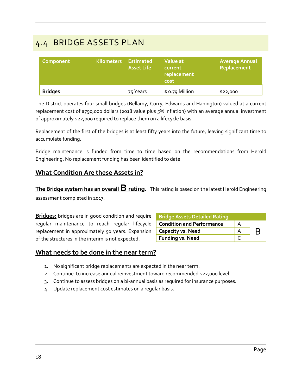### 4.4 BRIDGE ASSETS PLAN

| Component      | <b>Kilometers</b> | Estimated<br><b>Asset Life</b> | Value at<br>current<br>replacement<br>cost | <b>Average Annual</b><br>Replacement |
|----------------|-------------------|--------------------------------|--------------------------------------------|--------------------------------------|
| <b>Bridges</b> |                   | 75 Years                       | \$ 0.79 Million                            | \$22,000                             |

The District operates four small bridges (Bellamy, Corry, Edwards and Hanington) valued at a current replacement cost of \$790,000 dollars (2018 value plus 5% inflation) with an average annual investment of approximately \$22,000 required to replace them on a lifecycle basis.

Replacement of the first of the bridges is at least fifty years into the future, leaving significant time to accumulate funding.

Bridge maintenance is funded from time to time based on the recommendations from Herold Engineering. No replacement funding has been identified to date.

#### **What Condition Are these Assets in?**

**The Bridge system has an overall B rating**. This rating is based on the latest Herold Engineering assessment completed in 2017.

**Bridges:** bridges are in good condition and require regular maintenance to reach regular lifecycle replacement in approximately 50 years. Expansion of the structures in the interim is not expected.

| <b>Bridge Assets Detailed Rating</b> |   |   |
|--------------------------------------|---|---|
| <b>Condition and Performance</b>     | А |   |
| <b>Capacity vs. Need</b>             |   | B |
| <b>Funding vs. Need</b>              |   |   |

#### **What needs to be done in the near term?**

- 1. No significant bridge replacements are expected in the near term.
- 2. Continue to increase annual reinvestment toward recommended \$22,000 level.
- 3. Continue to assess bridges on a bi-annual basis as required for insurance purposes.
- 4. Update replacement cost estimates on a regular basis.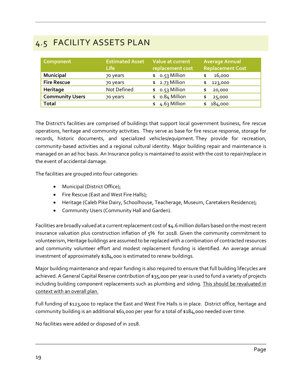## 4.5 FACILITY ASSETS PLAN

| Component              | <b>Estimated Asset</b><br><b>Life</b> | Value at current<br>replacement cost | <b>Average Annual</b><br><b>Replacement Cost</b> |
|------------------------|---------------------------------------|--------------------------------------|--------------------------------------------------|
| <b>Municipal</b>       | 70 years                              | $$0.53$ Million                      | 16,000<br>\$                                     |
| <b>Fire Rescue</b>     | 70 years                              | $$2.73$ Million                      | 123,000<br>\$                                    |
| Heritage               | Not Defined                           | o.53 Million<br>\$                   | 20,000<br>\$                                     |
| <b>Community Users</b> | 70 years                              | 0.84 Million<br>\$                   | 25,000<br>\$                                     |
| Total                  |                                       | 4.63 Million                         | 184,000<br>\$                                    |

The District's facilities are comprised of buildings that support local government business, fire rescue operations, heritage and community activities. They serve as base for fire rescue response, storage for records, historic documents, and specialized vehicles/equipment. They provide for recreation, community-based activities and a regional cultural identity. Major building repair and maintenance is managed on an ad hoc basis. An Insurance policy is maintained to assist with the cost to repair/replace in the event of accidental damage.

The facilities are grouped into four categories:

- Municipal (District Office);
- Fire Rescue (East and West Fire Halls);
- Heritage (Caleb Pike Dairy, Schoolhouse, Teacherage, Museum, Caretakers Residence);
- Community Users (Community Hall and Garden).

Facilities are broadly valued at a current replacement cost of \$4.6 million dollars based on the most recent insurance valuation plus construction inflation of 5% for 2018. Given the community commitment to volunteerism, Heritage buildings are assumed to be replaced with a combination of contracted resources and community volunteer effort and modest replacement funding is identified. An average annual investment of approximately \$184,000 is estimated to renew buildings.

Major building maintenance and repair funding is also required to ensure that full building lifecycles are achieved. A General Capital Reserve contribution of \$35,000 per year is used to fund a variety of projects including building component replacements such as plumbing and siding. This should be revaluated in context with an overall plan.

Full funding of \$123,000 to replace the East and West Fire Halls is in place. District office, heritage and community building is an additional \$61,000 per year for a total of \$184,000 needed over time.

No facilities were added or disposed of in 2018.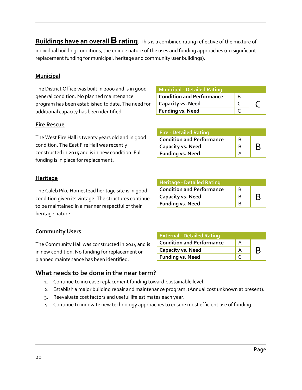**Buildings have an overallB rating**. This is a combined rating reflective of the mixture of individual building conditions, the unique nature of the uses and funding approaches (no significant replacement funding for municipal, heritage and community user buildings).

#### **Municipal**

The District Office was built in 2000 and is in good general condition. No planned maintenance program has been established to date. The need for additional capacity has been identified

#### **Fire Rescue**

The West Fire Hall is twenty years old and in good condition. The East Fire Hall was recently constructed in 2015 and is in new condition. Full funding is in place for replacement.

#### **Heritage**

The Caleb Pike Homestead heritage site is in good condition given its vintage. The structures continue to be maintained in a manner respectful of their heritage nature.

#### **Community Users**

The Community Hall was constructed in 2014 and is in new condition. No funding for replacement or planned maintenance has been identified.

#### **What needs to be done in the near term?**

- 1. Continue to increase replacement funding toward sustainable level.
- 2. Establish a major building repair and maintenance program. (Annual cost unknown at present).
- 3. Reevaluate cost factors and useful life estimates each year.
- 4. Continue to innovate new technology approaches to ensure most efficient use of funding.

| <b>Heritage - Detailed Rating</b> |   |   |
|-----------------------------------|---|---|
| <b>Condition and Performance</b>  | в |   |
| <b>Capacity vs. Need</b>          |   | B |
| <b>Funding vs. Need</b>           |   |   |

| <b>Municipal - Detailed Rating</b> |   |  |
|------------------------------------|---|--|
| <b>Condition and Performance</b>   | В |  |
| <b>Capacity vs. Need</b>           |   |  |
| <b>Funding vs. Need</b>            |   |  |

| <b>Funding vs. Need</b>           |  |
|-----------------------------------|--|
|                                   |  |
|                                   |  |
|                                   |  |
| <b>Heritage - Detailed Rating</b> |  |

**Capacity vs. Need** B B **R** 

**Condition and Performance** B

**Fire - Detailed Rating**

| <b>External - Detailed Rating</b> |   |
|-----------------------------------|---|
| <b>Condition and Performance</b>  |   |
| <b>Capacity vs. Need</b>          | B |
| <b>Funding vs. Need</b>           |   |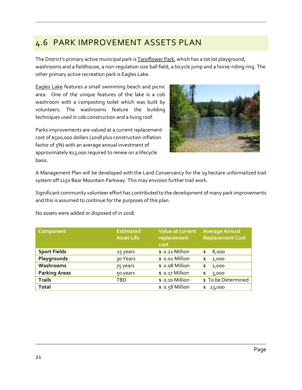### 4.6 PARK IMPROVEMENT ASSETS PLAN

The District's primary active municipal park is **Twinflower Park**, which has a tot lot playground, washrooms and a fieldhouse, a non-regulation size ball field, a bicycle jump and a horse-riding ring. The other primary active recreation park is Eagles Lake.

Eagles Lake features a small swimming beach and picnic area. One of the unique features of the lake is a cob washroom with a composting toilet which was built by volunteers. The washrooms feature the building techniques used in cob construction and a living roof.

Parks improvements are valued at a current replacement cost of \$500,000 dollars (2018 plus construction inflation factor of 5%) with an average annual investment of approximately \$13,000 required to renew on a lifecycle basis.



A Management Plan will be developed with the Land Conservancy for the 19 hectare unformalized trail system off 1150 Bear Mountain Parkway. This may envision further trail work.

Significant community volunteer effort has contributed to the development of many park improvements and this is assumed to continue for the purposes of this plan.

No assets were added or disposed of in 2018.

| Component            | <b>Estimated</b><br><b>Asset Life</b> | Value at current<br>replacement<br>cost | <b>Average Annual</b><br><b>Replacement Cost</b> |
|----------------------|---------------------------------------|-----------------------------------------|--------------------------------------------------|
| <b>Sport Fields</b>  | 25 years                              | \$ 0.21 Million                         | 8,000<br>\$                                      |
| Playgrounds          | 30 Years                              | \$ 0.02 Million                         | 1,000<br>\$                                      |
| Washrooms            | 75 years                              | \$ 0.08 Million                         | 1,000<br>\$                                      |
| <b>Parking Areas</b> | 50 years                              | \$ 0.17 Million                         | 3,000<br>\$                                      |
| <b>Trails</b>        | TBD                                   | \$ 0.10 Million                         | \$ To be Determined                              |
| <b>Total</b>         |                                       | \$ 0.58 Million                         | 13,000<br>\$                                     |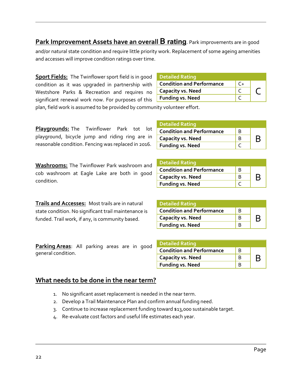#### **Park Improvement Assets have an overall B rating**. Park improvements are in good

and/or natural state condition and require little priority work. Replacement of some ageing amenities and accesses will improve condition ratings over time.

**Sport Fields:** The Twinflower sport field is in good condition as it was upgraded in partnership with Westshore Parks & Recreation and requires no significant renewal work now. For purposes of this

| <b>Detailed Rating</b>           |                        |  |
|----------------------------------|------------------------|--|
| <b>Condition and Performance</b> | $\mathsf{C}\mathsf{+}$ |  |
| <b>Capacity vs. Need</b>         |                        |  |
| <b>Funding vs. Need</b>          |                        |  |

**Condition and Performance** B

**Condition and Performance** B

**Capacity vs. Need** B B B B<br>Funding vs. Need C

plan, field work is assumed to be provided by community volunteer effort.

**Playgrounds:** The Twinflower Park tot lot playground, bicycle jump and riding ring are in reasonable condition. Fencing was replaced in 2016.

**Washrooms:** The Twinflower Park washroom and cob washroom at Eagle Lake are both in good condition.

**Trails and Accesses:** Most trails are in natural state condition. No significant trail maintenance is funded. Trail work, if any, is community based.

**Parking Areas**: All parking areas are in good

**Capacity vs. Need** B B B B<br>Funding vs. Need C C **Funding vs. Need** 

**Detailed Rating**

**Funding vs. Need** 

**Detailed Rating**

| <b>Detailed Rating</b>           |   |   |
|----------------------------------|---|---|
| <b>Condition and Performance</b> | B |   |
| <b>Capacity vs. Need</b>         |   | B |
| <b>Funding vs. Need</b>          |   |   |

| <b>Detailed Rating</b>           |   |  |
|----------------------------------|---|--|
| <b>Condition and Performance</b> | R |  |
| <b>Capacity vs. Need</b>         |   |  |
| <b>Funding vs. Need</b>          |   |  |

#### **What needs to be done in the near term?**

- 1. No significant asset replacement is needed in the near term.
- 2. Develop a Trail Maintenance Plan and confirm annual funding need.
- 3. Continue to increase replacement funding toward \$13,000 sustainable target.
- 4. Re-evaluate cost factors and useful life estimates each year.

general condition.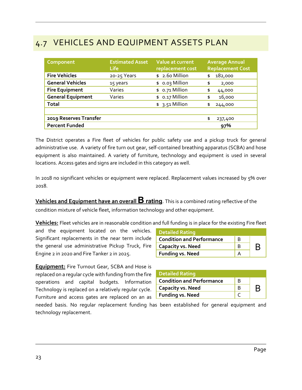### 4.7 VEHICLES AND EQUIPMENT ASSETS PLAN

| Component                | <b>Estimated Asset</b><br><b>Life</b> | <b>Value at current</b><br>replacement cost | <b>Average Annual</b><br><b>Replacement Cost</b> |
|--------------------------|---------------------------------------|---------------------------------------------|--------------------------------------------------|
| <b>Fire Vehicles</b>     | 20-25 Years                           | \$ 2.60 Million                             | 182,000<br>\$                                    |
| <b>General Vehicles</b>  | 15 years                              | \$ 0.03 Million                             | \$<br>2,000                                      |
| <b>Fire Equipment</b>    | Varies                                | \$ 0.71 Million                             | \$<br>44,000                                     |
| <b>General Equipment</b> | Varies                                | \$ 0.17 Million                             | 16,000<br>\$                                     |
| <b>Total</b>             |                                       | $$3.51$ Million                             | 244,000<br>\$                                    |
|                          |                                       |                                             |                                                  |
| 2019 Reserves Transfer   |                                       |                                             | \$<br>237,400                                    |
| <b>Percent Funded</b>    |                                       |                                             | 97%                                              |

The District operates a Fire fleet of vehicles for public safety use and a pickup truck for general administrative use. A variety of fire turn out gear, self-contained breathing apparatus (SCBA) and hose equipment is also maintained. A variety of furniture, technology and equipment is used in several locations. Access gates and signs are included in this category as well.

In 2018 no significant vehicles or equipment were replaced. Replacement values increased by 5% over 2018.

**Vehicles and Equipment have an overall B rating**. This is a combined rating reflective of the condition mixture of vehicle fleet, information technology and other equipment.

**Vehicles:** Fleet vehicles are in reasonable condition and full funding is in place for the existing Fire fleet

and the equipment located on the vehicles. Significant replacements in the near term include the general use administrative Pickup Truck, Fire Engine 2 in 2020 and Fire Tanker 2 in 2025.

**Equipment:** Fire Turnout Gear, SCBA and Hose is replaced on a regular cycle with funding from the fire operations and capital budgets. Information Technology is replaced on a relatively regular cycle. Furniture and access gates are replaced on an as

| <b>Detailed Rating</b>           |   |  |
|----------------------------------|---|--|
| <b>Condition and Performance</b> | B |  |
| <b>Capacity vs. Need</b>         |   |  |
| <b>Funding vs. Need</b>          |   |  |

| <b>Detailed Rating</b>           |   |  |
|----------------------------------|---|--|
| <b>Condition and Performance</b> | в |  |
| <b>Capacity vs. Need</b>         |   |  |
| <b>Funding vs. Need</b>          |   |  |

needed basis. No regular replacement funding has been established for general equipment and technology replacement.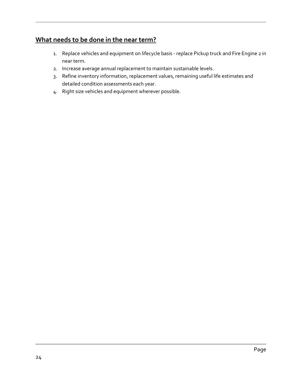#### **What needs to be done in the near term?**

- 1. Replace vehicles and equipment on lifecycle basis replace Pickup truck and Fire Engine 2 in near term.
- 2. Increase average annual replacement to maintain sustainable levels.
- 3. Refine inventory information, replacement values, remaining useful life estimates and detailed condition assessments each year.
- 4. Right size vehicles and equipment wherever possible.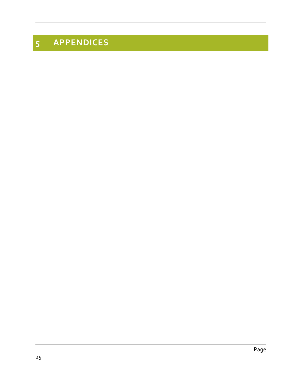# **APPENDICES**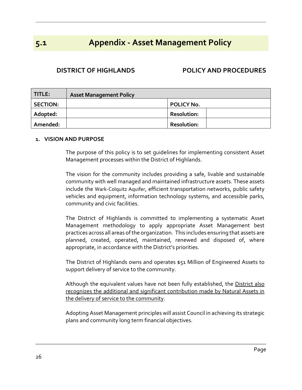### **5.1 Appendix - Asset Management Policy**

#### **DISTRICT OF HIGHLANDS POLICY AND PROCEDURES**

| TITLE:          | <b>Asset Management Policy</b> |                    |
|-----------------|--------------------------------|--------------------|
| <b>SECTION:</b> |                                | <b>POLICY No.</b>  |
| Adopted:        |                                | <b>Resolution:</b> |
| Amended:        |                                | <b>Resolution:</b> |

#### **1. VISION AND PURPOSE**

The purpose of this policy is to set guidelines for implementing consistent Asset Management processes within the District of Highlands.

The vision for the community includes providing a safe, livable and sustainable community with well managed and maintained infrastructure assets. These assets include the Wark-Colquitz Aquifer, efficient transportation networks, public safety vehicles and equipment, information technology systems, and accessible parks, community and civic facilities.

The District of Highlands is committed to implementing a systematic Asset Management methodology to apply appropriate Asset Management best practices across all areas of the organization. This includes ensuring that assets are planned, created, operated, maintained, renewed and disposed of, where appropriate, in accordance with the District's priorities.

The District of Highlands owns and operates \$51 Million of Engineered Assets to support delivery of service to the community.

Although the equivalent values have not been fully established, the District also recognizes the additional and significant contribution made by Natural Assets in the delivery of service to the community.

Adopting Asset Management principles will assist Council in achieving its strategic plans and community long term financial objectives.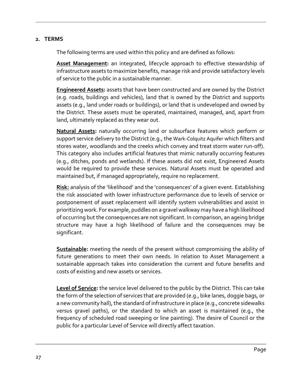#### **2. TERMS**

The following terms are used within this policy and are defined as follows:

**Asset Management:** an integrated, lifecycle approach to effective stewardship of infrastructure assets to maximize benefits, manage risk and provide satisfactory levels of service to the public in a sustainable manner.

**Engineered Assets:** assets that have been constructed and are owned by the District (e.g. roads, buildings and vehicles), land that is owned by the District and supports assets (e.g., land under roads or buildings), or land that is undeveloped and owned by the District. These assets must be operated, maintained, managed, and, apart from land, ultimately replaced as they wear out.

**Natural Assets:** naturally occurring land or subsurface features which perform or support service delivery to the District (e.g., the Wark-Colquitz Aquifer which filters and stores water, woodlands and the creeks which convey and treat storm water run-off). This category also includes artificial features that mimic naturally occurring features (e.g., ditches, ponds and wetlands). If these assets did not exist, Engineered Assets would be required to provide these services. Natural Assets must be operated and maintained but, if managed appropriately, require no replacement.

**Risk:** analysis of the 'likelihood' and the 'consequences' of a given event. Establishing the risk associated with lower infrastructure performance due to levels of service or postponement of asset replacement will identify system vulnerabilities and assist in prioritizing work. For example, puddles on a gravel walkway may have a high likelihood of occurring but the consequences are not significant. In comparison, an ageing bridge structure may have a high likelihood of failure and the consequences may be significant.

**Sustainable:** meeting the needs of the present without compromising the ability of future generations to meet their own needs. In relation to Asset Management a sustainable approach takes into consideration the current and future benefits and costs of existing and new assets or services.

**Level of Service:** the service level delivered to the public by the District. This can take the form of the selection of services that are provided (e.g., bike lanes, doggie bags, or a new community hall), the standard of infrastructure in place (e.g., concrete sidewalks versus gravel paths), or the standard to which an asset is maintained (e.g., the frequency of scheduled road sweeping or line painting). The desire of Council or the public for a particular Level of Service will directly affect taxation.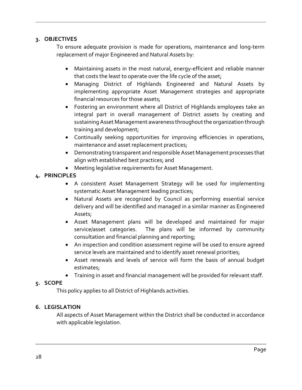#### **3. OBJECTIVES**

To ensure adequate provision is made for operations, maintenance and long-term replacement of major Engineered and Natural Assets by:

- Maintaining assets in the most natural, energy-efficient and reliable manner that costs the least to operate over the life cycle of the asset;
- Managing District of Highlands Engineered and Natural Assets by implementing appropriate Asset Management strategies and appropriate financial resources for those assets;
- Fostering an environment where all District of Highlands employees take an integral part in overall management of District assets by creating and sustaining Asset Management awareness throughout the organization through training and development;
- Continually seeking opportunities for improving efficiencies in operations, maintenance and asset replacement practices;
- Demonstrating transparent and responsible Asset Management processes that align with established best practices; and
- Meeting legislative requirements for Asset Management.

#### **4. PRINCIPLES**

- A consistent Asset Management Strategy will be used for implementing systematic Asset Management leading practices;
- Natural Assets are recognized by Council as performing essential service delivery and will be identified and managed in a similar manner as Engineered Assets;
- Asset Management plans will be developed and maintained for major service/asset categories. The plans will be informed by community consultation and financial planning and reporting;
- An inspection and condition assessment regime will be used to ensure agreed service levels are maintained and to identify asset renewal priorities;
- Asset renewals and levels of service will form the basis of annual budget estimates;
- Training in asset and financial management will be provided for relevant staff.

#### **5. SCOPE**

This policy applies to all District of Highlands activities.

#### **6. LEGISLATION**

All aspects of Asset Management within the District shall be conducted in accordance with applicable legislation.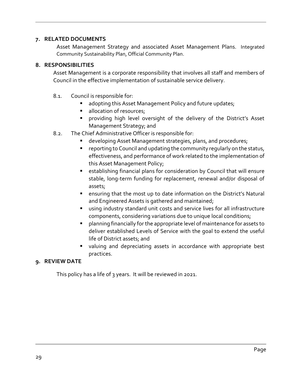#### **7. RELATED DOCUMENTS**

Asset Management Strategy and associated Asset Management Plans. Integrated Community Sustainability Plan, Official Community Plan.

#### **8. RESPONSIBILITIES**

Asset Management is a corporate responsibility that involves all staff and members of Council in the effective implementation of sustainable service delivery.

- 8.1. Council is responsible for:
	- adopting this Asset Management Policy and future updates;
	- allocation of resources;
	- providing high level oversight of the delivery of the District's Asset Management Strategy; and
- 8.2. The Chief Administrative Officer is responsible for:
	- developing Asset Management strategies, plans, and procedures;
	- reporting to Council and updating the community regularly on the status, effectiveness, and performance of work related to the implementation of this Asset Management Policy;
	- establishing financial plans for consideration by Council that will ensure stable, long-term funding for replacement, renewal and/or disposal of assets;
	- ensuring that the most up to date information on the District's Natural and Engineered Assets is gathered and maintained;
	- using industry standard unit costs and service lives for all infrastructure components, considering variations due to unique local conditions;
	- planning financially for the appropriate level of maintenance for assets to deliver established Levels of Service with the goal to extend the useful life of District assets; and
	- valuing and depreciating assets in accordance with appropriate best practices.

#### **9. REVIEW DATE**

This policy has a life of 3 years. It will be reviewed in 2021.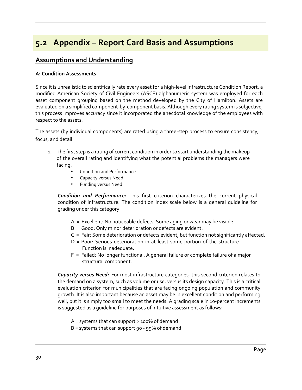### **5.2 Appendix – Report Card Basis and Assumptions**

#### **Assumptions and Understanding**

#### **A: Condition Assessments**

Since it is unrealistic to scientifically rate every asset for a high-level Infrastructure Condition Report, a modified American Society of Civil Engineers (ASCE) alphanumeric system was employed for each asset component grouping based on the method developed by the City of Hamilton. Assets are evaluated on a simplified component-by-component basis. Although every rating system is subjective, this process improves accuracy since it incorporated the anecdotal knowledge of the employees with respect to the assets.

The assets (by individual components) are rated using a three-step process to ensure consistency, focus, and detail:

- 1. The first step is a rating of current condition in order to start understanding the makeup of the overall rating and identifying what the potential problems the managers were facing.
	- Condition and Performance
	- Capacity versus Need
	- Funding versus Need

*Condition and Performance:* This first criterion characterizes the current physical condition of infrastructure. The condition index scale below is a general guideline for grading under this category:

- A = Excellent: No noticeable defects. Some aging or wear may be visible.
- B = Good: Only minor deterioration or defects are evident.
- C = Fair: Some deterioration or defects evident, but function not significantly affected.
- D = Poor: Serious deterioration in at least some portion of the structure. Function is inadequate.
- F = Failed: No longer functional. A general failure or complete failure of a major structural component.

*Capacity versus Need:* For most infrastructure categories, this second criterion relates to the demand on a system, such as volume or use, versus its design capacity. This is a critical evaluation criterion for municipalities that are facing ongoing population and community growth. It is also important because an asset may be in excellent condition and performing well, but it is simply too small to meet the needs. A grading scale in 10-percent increments is suggested as a guideline for purposes of intuitive assessment as follows:

A = systems that can support > 100% of demand

B = systems that can support 90 - 99% of demand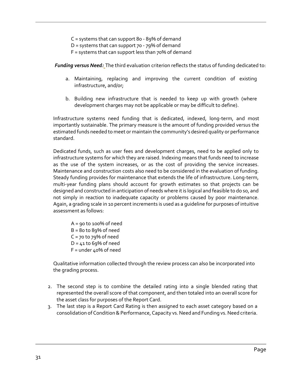C = systems that can support 80 - 89% of demand

- D = systems that can support  $70 79\%$  of demand
- F = systems that can support less than 70% of demand

*Funding versus Need:* The third evaluation criterion reflects the status of funding dedicated to:

- a. Maintaining, replacing and improving the current condition of existing infrastructure, and/or;
- b. Building new infrastructure that is needed to keep up with growth (where development charges may not be applicable or may be difficult to define).

Infrastructure systems need funding that is dedicated, indexed, long-term, and most importantly sustainable. The primary measure is the amount of funding provided versus the estimated funds needed to meet or maintain the community's desired quality or performance standard.

Dedicated funds, such as user fees and development charges, need to be applied only to infrastructure systems for which they are raised. Indexing means that funds need to increase as the use of the system increases, or as the cost of providing the service increases. Maintenance and construction costs also need to be considered in the evaluation of funding. Steady funding provides for maintenance that extends the life of infrastructure. Long-term, multi-year funding plans should account for growth estimates so that projects can be designed and constructed in anticipation of needs where it is logical and feasible to do so, and not simply in reaction to inadequate capacity or problems caused by poor maintenance. Again, a grading scale in 10 percent increments is used as a guideline for purposes of intuitive assessment as follows:

 $A = 90$  to 100% of need  $B = 80$  to  $89%$  of need  $C = 70$  to 79% of need  $D = 41$  to 69% of need F = under 40% of need

Qualitative information collected through the review process can also be incorporated into the grading process.

- 2. The second step is to combine the detailed rating into a single blended rating that represented the overall score of that component, and then totaled into an overall score for the asset class for purposes of the Report Card.
- 3. The last step is a Report Card Rating is then assigned to each asset category based on a consolidation of Condition & Performance, Capacity vs. Need and Funding vs. Need criteria.